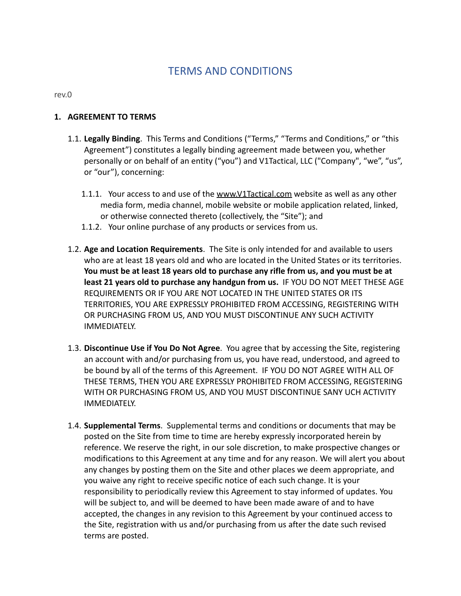# TERMS AND CONDITIONS

rev.0

#### **1. AGREEMENT TO TERMS**

- 1.1. **Legally Binding**. This Terms and Conditions ("Terms," "Terms and Conditions," or "this Agreement") constitutes a legally binding agreement made between you, whether personally or on behalf of an entity ("you") and V1Tactical, LLC ("Company", "we", "us", or "our"), concerning:
	- 1.1.1. Your access to and use of the [www.V1Tactical.com](http://www.v1tactical.com) website as well as any other media form, media channel, mobile website or mobile application related, linked, or otherwise connected thereto (collectively, the "Site"); and
	- 1.1.2. Your online purchase of any products or services from us.
- 1.2. **Age and Location Requirements**. The Site is only intended for and available to users who are at least 18 years old and who are located in the United States or its territories. **You must be at least 18 years old to purchase any rifle from us, and you must be at least 21 years old to purchase any handgun from us.** IF YOU DO NOT MEET THESE AGE REQUIREMENTS OR IF YOU ARE NOT LOCATED IN THE UNITED STATES OR ITS TERRITORIES, YOU ARE EXPRESSLY PROHIBITED FROM ACCESSING, REGISTERING WITH OR PURCHASING FROM US, AND YOU MUST DISCONTINUE ANY SUCH ACTIVITY IMMEDIATELY.
- 1.3. **Discontinue Use if You Do Not Agree**. You agree that by accessing the Site, registering an account with and/or purchasing from us, you have read, understood, and agreed to be bound by all of the terms of this Agreement. IF YOU DO NOT AGREE WITH ALL OF THESE TERMS, THEN YOU ARE EXPRESSLY PROHIBITED FROM ACCESSING, REGISTERING WITH OR PURCHASING FROM US, AND YOU MUST DISCONTINUE SANY UCH ACTIVITY IMMEDIATELY.
- 1.4. **Supplemental Terms**. Supplemental terms and conditions or documents that may be posted on the Site from time to time are hereby expressly incorporated herein by reference. We reserve the right, in our sole discretion, to make prospective changes or modifications to this Agreement at any time and for any reason. We will alert you about any changes by posting them on the Site and other places we deem appropriate, and you waive any right to receive specific notice of each such change. It is your responsibility to periodically review this Agreement to stay informed of updates. You will be subject to, and will be deemed to have been made aware of and to have accepted, the changes in any revision to this Agreement by your continued access to the Site, registration with us and/or purchasing from us after the date such revised terms are posted.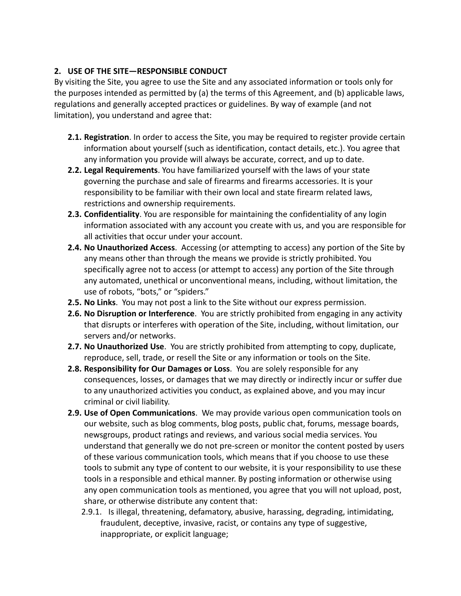# **2. USE OF THE SITE—RESPONSIBLE CONDUCT**

By visiting the Site, you agree to use the Site and any associated information or tools only for the purposes intended as permitted by (a) the terms of this Agreement, and (b) applicable laws, regulations and generally accepted practices or guidelines. By way of example (and not limitation), you understand and agree that:

- **2.1. Registration**. In order to access the Site, you may be required to register provide certain information about yourself (such as identification, contact details, etc.). You agree that any information you provide will always be accurate, correct, and up to date.
- **2.2. Legal Requirements**. You have familiarized yourself with the laws of your state governing the purchase and sale of firearms and firearms accessories. It is your responsibility to be familiar with their own local and state firearm related laws, restrictions and ownership requirements.
- **2.3. Confidentiality**. You are responsible for maintaining the confidentiality of any login information associated with any account you create with us, and you are responsible for all activities that occur under your account.
- **2.4. No Unauthorized Access**. Accessing (or attempting to access) any portion of the Site by any means other than through the means we provide is strictly prohibited. You specifically agree not to access (or attempt to access) any portion of the Site through any automated, unethical or unconventional means, including, without limitation, the use of robots, "bots," or "spiders."
- **2.5. No Links**. You may not post a link to the Site without our express permission.
- **2.6. No Disruption or Interference**. You are strictly prohibited from engaging in any activity that disrupts or interferes with operation of the Site, including, without limitation, our servers and/or networks.
- **2.7. No Unauthorized Use**. You are strictly prohibited from attempting to copy, duplicate, reproduce, sell, trade, or resell the Site or any information or tools on the Site.
- **2.8. Responsibility for Our Damages or Loss**. You are solely responsible for any consequences, losses, or damages that we may directly or indirectly incur or suffer due to any unauthorized activities you conduct, as explained above, and you may incur criminal or civil liability.
- **2.9. Use of Open Communications**. We may provide various open communication tools on our website, such as blog comments, blog posts, public chat, forums, message boards, newsgroups, product ratings and reviews, and various social media services. You understand that generally we do not pre-screen or monitor the content posted by users of these various communication tools, which means that if you choose to use these tools to submit any type of content to our website, it is your responsibility to use these tools in a responsible and ethical manner. By posting information or otherwise using any open communication tools as mentioned, you agree that you will not upload, post, share, or otherwise distribute any content that:
	- 2.9.1. Is illegal, threatening, defamatory, abusive, harassing, degrading, intimidating, fraudulent, deceptive, invasive, racist, or contains any type of suggestive, inappropriate, or explicit language;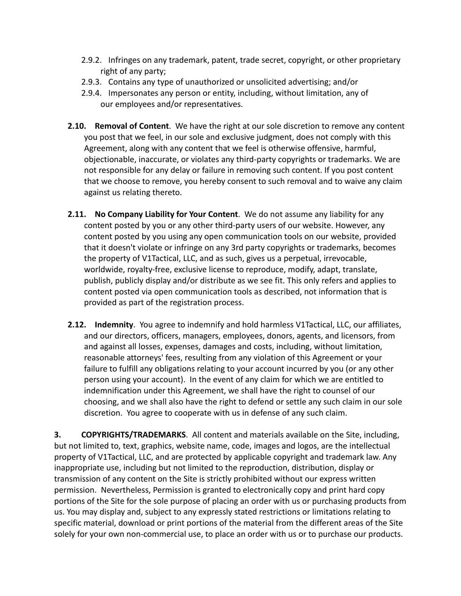- 2.9.2. Infringes on any trademark, patent, trade secret, copyright, or other proprietary right of any party;
- 2.9.3. Contains any type of unauthorized or unsolicited advertising; and/or
- 2.9.4. Impersonates any person or entity, including, without limitation, any of our employees and/or representatives.
- **2.10. Removal of Content**. We have the right at our sole discretion to remove any content you post that we feel, in our sole and exclusive judgment, does not comply with this Agreement, along with any content that we feel is otherwise offensive, harmful, objectionable, inaccurate, or violates any third-party copyrights or trademarks. We are not responsible for any delay or failure in removing such content. If you post content that we choose to remove, you hereby consent to such removal and to waive any claim against us relating thereto.
- **2.11. No Company Liability for Your Content**. We do not assume any liability for any content posted by you or any other third-party users of our website. However, any content posted by you using any open communication tools on our website, provided that it doesn't violate or infringe on any 3rd party copyrights or trademarks, becomes the property of V1Tactical, LLC, and as such, gives us a perpetual, irrevocable, worldwide, royalty-free, exclusive license to reproduce, modify, adapt, translate, publish, publicly display and/or distribute as we see fit. This only refers and applies to content posted via open communication tools as described, not information that is provided as part of the registration process.
- **2.12. Indemnity**. You agree to indemnify and hold harmless V1Tactical, LLC, our affiliates, and our directors, officers, managers, employees, donors, agents, and licensors, from and against all losses, expenses, damages and costs, including, without limitation, reasonable attorneys' fees, resulting from any violation of this Agreement or your failure to fulfill any obligations relating to your account incurred by you (or any other person using your account). In the event of any claim for which we are entitled to indemnification under this Agreement, we shall have the right to counsel of our choosing, and we shall also have the right to defend or settle any such claim in our sole discretion. You agree to cooperate with us in defense of any such claim.

**3. COPYRIGHTS/TRADEMARKS**. All content and materials available on the Site, including, but not limited to, text, graphics, website name, code, images and logos, are the intellectual property of V1Tactical, LLC, and are protected by applicable copyright and trademark law. Any inappropriate use, including but not limited to the reproduction, distribution, display or transmission of any content on the Site is strictly prohibited without our express written permission. Nevertheless, Permission is granted to electronically copy and print hard copy portions of the Site for the sole purpose of placing an order with us or purchasing products from us. You may display and, subject to any expressly stated restrictions or limitations relating to specific material, download or print portions of the material from the different areas of the Site solely for your own non-commercial use, to place an order with us or to purchase our products.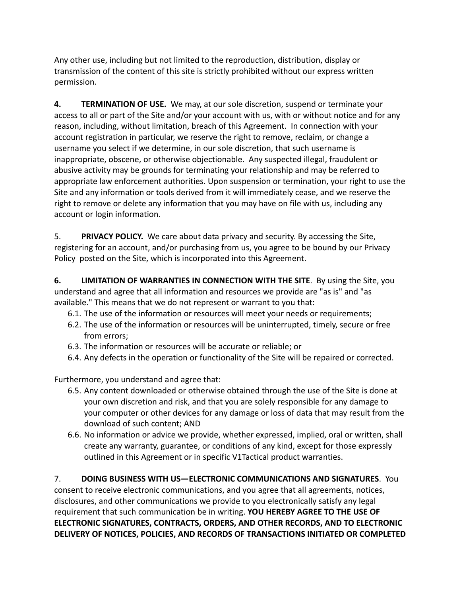Any other use, including but not limited to the reproduction, distribution, display or transmission of the content of this site is strictly prohibited without our express written permission.

**4. TERMINATION OF USE.** We may, at our sole discretion, suspend or terminate your access to all or part of the Site and/or your account with us, with or without notice and for any reason, including, without limitation, breach of this Agreement. In connection with your account registration in particular, we reserve the right to remove, reclaim, or change a username you select if we determine, in our sole discretion, that such username is inappropriate, obscene, or otherwise objectionable. Any suspected illegal, fraudulent or abusive activity may be grounds for terminating your relationship and may be referred to appropriate law enforcement authorities. Upon suspension or termination, your right to use the Site and any information or tools derived from it will immediately cease, and we reserve the right to remove or delete any information that you may have on file with us, including any account or login information.

5. **PRIVACY POLICY.** We care about data privacy and security. By accessing the Site, registering for an account, and/or purchasing from us, you agree to be bound by our Privacy Policy posted on the Site, which is incorporated into this Agreement.

**6. LIMITATION OF WARRANTIES IN CONNECTION WITH THE SITE**. By using the Site, you understand and agree that all information and resources we provide are "as is" and "as available." This means that we do not represent or warrant to you that:

- 6.1. The use of the information or resources will meet your needs or requirements;
- 6.2. The use of the information or resources will be uninterrupted, timely, secure or free from errors;
- 6.3. The information or resources will be accurate or reliable; or
- 6.4. Any defects in the operation or functionality of the Site will be repaired or corrected.

Furthermore, you understand and agree that:

- 6.5. Any content downloaded or otherwise obtained through the use of the Site is done at your own discretion and risk, and that you are solely responsible for any damage to your computer or other devices for any damage or loss of data that may result from the download of such content; AND
- 6.6. No information or advice we provide, whether expressed, implied, oral or written, shall create any warranty, guarantee, or conditions of any kind, except for those expressly outlined in this Agreement or in specific V1Tactical product warranties.

7. **DOING BUSINESS WITH US—ELECTRONIC COMMUNICATIONS AND SIGNATURES**. You consent to receive electronic communications, and you agree that all agreements, notices, disclosures, and other communications we provide to you electronically satisfy any legal requirement that such communication be in writing. **YOU HEREBY AGREE TO THE USE OF ELECTRONIC SIGNATURES, CONTRACTS, ORDERS, AND OTHER RECORDS, AND TO ELECTRONIC DELIVERY OF NOTICES, POLICIES, AND RECORDS OF TRANSACTIONS INITIATED OR COMPLETED**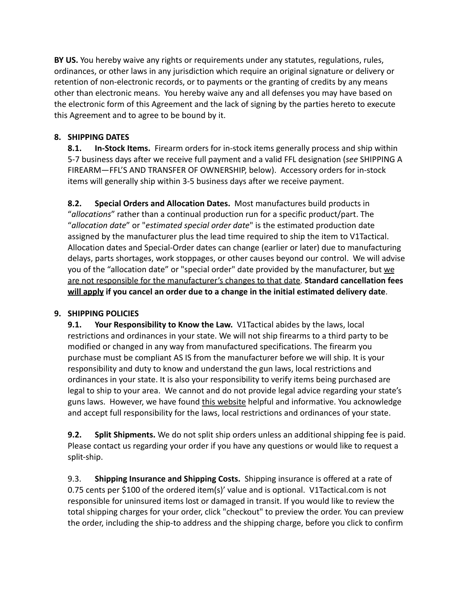**BY US.** You hereby waive any rights or requirements under any statutes, regulations, rules, ordinances, or other laws in any jurisdiction which require an original signature or delivery or retention of non-electronic records, or to payments or the granting of credits by any means other than electronic means. You hereby waive any and all defenses you may have based on the electronic form of this Agreement and the lack of signing by the parties hereto to execute this Agreement and to agree to be bound by it.

# **8. SHIPPING DATES**

**8.1. In-Stock Items.** Firearm orders for in-stock items generally process and ship within 5-7 business days after we receive full payment and a valid FFL designation (*see* SHIPPING A FIREARM—FFL'S AND TRANSFER OF OWNERSHIP, below). Accessory orders for in-stock items will generally ship within 3-5 business days after we receive payment.

**8.2. Special Orders and Allocation Dates.** Most manufactures build products in "*allocations*" rather than a continual production run for a specific product/part. The "*allocation date*" or "*estimated special order date*" is the estimated production date assigned by the manufacturer plus the lead time required to ship the item to V1Tactical. Allocation dates and Special-Order dates can change (earlier or later) due to manufacturing delays, parts shortages, work stoppages, or other causes beyond our control. We will advise you of the "allocation date" or "special order" date provided by the manufacturer, but we are not responsible for the manufacturer's changes to that date. **Standard cancellation fees will apply if you cancel an order due to a change in the initial estimated delivery date**.

### **9. SHIPPING POLICIES**

**9.1. Your Responsibility to Know the Law.** V1Tactical abides by the laws, local restrictions and ordinances in your state. We will not ship firearms to a third party to be modified or changed in any way from manufactured specifications. The firearm you purchase must be compliant AS IS from the manufacturer before we will ship. It is your responsibility and duty to know and understand the gun laws, local restrictions and ordinances in your state. It is also your responsibility to verify items being purchased are legal to ship to your area. We cannot and do not provide legal advice regarding your state's guns laws. However, we have found [this website](https://www.gunlawsbystate.com/law/home) helpful and informative. You acknowledge and accept full responsibility for the laws, local restrictions and ordinances of your state.

**9.2. Split Shipments.** We do not split ship orders unless an additional shipping fee is paid. Please contact us regarding your order if you have any questions or would like to request a split-ship.

9.3. **Shipping Insurance and Shipping Costs.** Shipping insurance is offered at a rate of 0.75 cents per \$100 of the ordered item(s)' value and is optional. V1Tactical.com is not responsible for uninsured items lost or damaged in transit. If you would like to review the total shipping charges for your order, click "checkout" to preview the order. You can preview the order, including the ship-to address and the shipping charge, before you click to confirm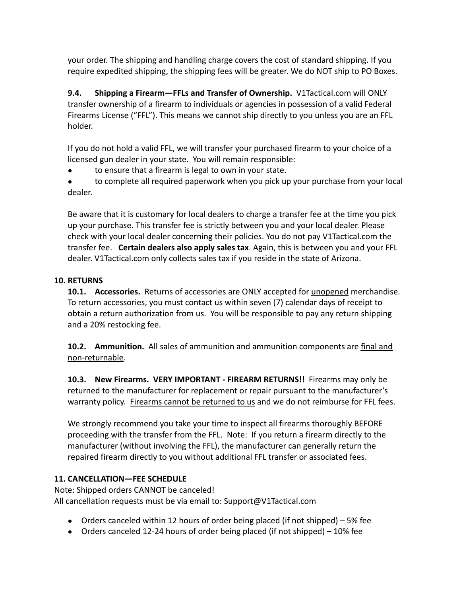your order. The shipping and handling charge covers the cost of standard shipping. If you require expedited shipping, the shipping fees will be greater. We do NOT ship to PO Boxes.

**9.4. Shipping a Firearm—FFLs and Transfer of Ownership.** V1Tactical.com will ONLY transfer ownership of a firearm to individuals or agencies in possession of a valid Federal Firearms License ("FFL"). This means we cannot ship directly to you unless you are an FFL holder.

If you do not hold a valid FFL, we will transfer your purchased firearm to your choice of a licensed gun dealer in your state. You will remain responsible:

to ensure that a firearm is legal to own in your state.

● to complete all required paperwork when you pick up your purchase from your local dealer.

Be aware that it is customary for local dealers to charge a transfer fee at the time you pick up your purchase. This transfer fee is strictly between you and your local dealer. Please check with your local dealer concerning their policies. You do not pay V1Tactical.com the transfer fee. **Certain dealers also apply sales tax**. Again, this is between you and your FFL dealer. V1Tactical.com only collects sales tax if you reside in the state of Arizona.

### **10. RETURNS**

**10.1. Accessories.** Returns of accessories are ONLY accepted for unopened merchandise. To return accessories, you must contact us within seven (7) calendar days of receipt to obtain a return authorization from us. You will be responsible to pay any return shipping and a 20% restocking fee.

**10.2. Ammunition.** All sales of ammunition and ammunition components are final and non-returnable.

**10.3. New Firearms. VERY IMPORTANT - FIREARM RETURNS!!** Firearms may only be returned to the manufacturer for replacement or repair pursuant to the manufacturer's warranty policy. Firearms cannot be returned to us and we do not reimburse for FFL fees.

We strongly recommend you take your time to inspect all firearms thoroughly BEFORE proceeding with the transfer from the FFL. Note: If you return a firearm directly to the manufacturer (without involving the FFL), the manufacturer can generally return the repaired firearm directly to you without additional FFL transfer or associated fees.

### **11. CANCELLATION—FEE SCHEDULE**

Note: Shipped orders CANNOT be canceled! All cancellation requests must be via email to: Support@V1Tactical.com

- Orders canceled within 12 hours of order being placed (if not shipped) 5% fee
- Orders canceled 12-24 hours of order being placed (if not shipped) 10% fee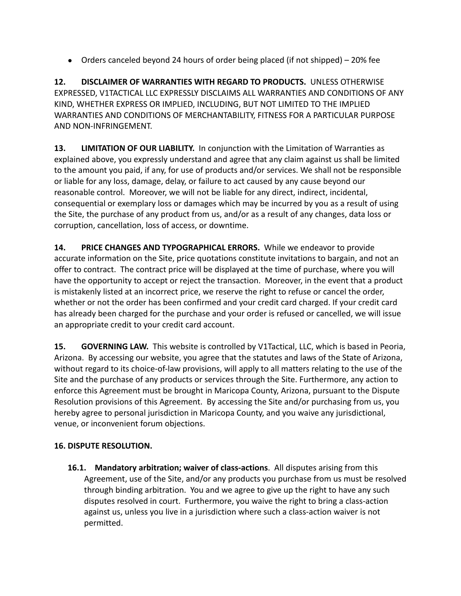● Orders canceled beyond 24 hours of order being placed (if not shipped) – 20% fee

**12. DISCLAIMER OF WARRANTIES WITH REGARD TO PRODUCTS.** UNLESS OTHERWISE EXPRESSED, V1TACTICAL LLC EXPRESSLY DISCLAIMS ALL WARRANTIES AND CONDITIONS OF ANY KIND, WHETHER EXPRESS OR IMPLIED, INCLUDING, BUT NOT LIMITED TO THE IMPLIED WARRANTIES AND CONDITIONS OF MERCHANTABILITY, FITNESS FOR A PARTICULAR PURPOSE AND NON-INFRINGEMENT.

**13. LIMITATION OF OUR LIABILITY.** In conjunction with the Limitation of Warranties as explained above, you expressly understand and agree that any claim against us shall be limited to the amount you paid, if any, for use of products and/or services. We shall not be responsible or liable for any loss, damage, delay, or failure to act caused by any cause beyond our reasonable control. Moreover, we will not be liable for any direct, indirect, incidental, consequential or exemplary loss or damages which may be incurred by you as a result of using the Site, the purchase of any product from us, and/or as a result of any changes, data loss or corruption, cancellation, loss of access, or downtime.

**14. PRICE CHANGES AND TYPOGRAPHICAL ERRORS.** While we endeavor to provide accurate information on the Site, price quotations constitute invitations to bargain, and not an offer to contract. The contract price will be displayed at the time of purchase, where you will have the opportunity to accept or reject the transaction. Moreover, in the event that a product is mistakenly listed at an incorrect price, we reserve the right to refuse or cancel the order, whether or not the order has been confirmed and your credit card charged. If your credit card has already been charged for the purchase and your order is refused or cancelled, we will issue an appropriate credit to your credit card account.

**15. GOVERNING LAW.** This website is controlled by V1Tactical, LLC, which is based in Peoria, Arizona. By accessing our website, you agree that the statutes and laws of the State of Arizona, without regard to its choice-of-law provisions, will apply to all matters relating to the use of the Site and the purchase of any products or services through the Site. Furthermore, any action to enforce this Agreement must be brought in Maricopa County, Arizona, pursuant to the Dispute Resolution provisions of this Agreement. By accessing the Site and/or purchasing from us, you hereby agree to personal jurisdiction in Maricopa County, and you waive any jurisdictional, venue, or inconvenient forum objections.

### **16. DISPUTE RESOLUTION.**

**16.1. Mandatory arbitration; waiver of class-actions**. All disputes arising from this Agreement, use of the Site, and/or any products you purchase from us must be resolved through binding arbitration. You and we agree to give up the right to have any such disputes resolved in court. Furthermore, you waive the right to bring a class-action against us, unless you live in a jurisdiction where such a class-action waiver is not permitted.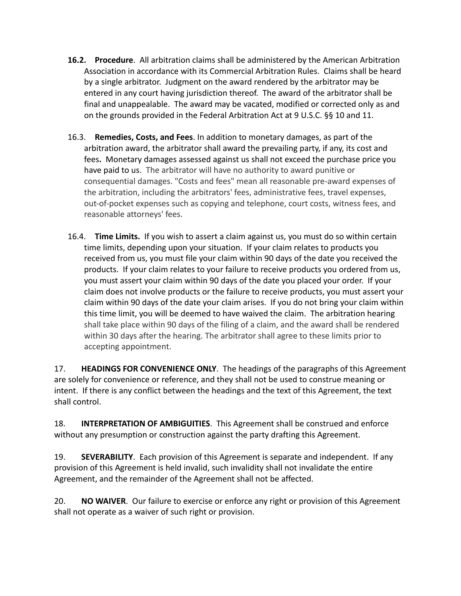- **16.2. Procedure**. All arbitration claims shall be administered by the American Arbitration Association in accordance with its Commercial Arbitration Rules. Claims shall be heard by a single arbitrator. Judgment on the award rendered by the arbitrator may be entered in any court having jurisdiction thereof. The award of the arbitrator shall be final and unappealable. The award may be vacated, modified or corrected only as and on the grounds provided in the Federal Arbitration Act at 9 U.S.C. §§ 10 and 11.
- 16.3. **Remedies, Costs, and Fees**. In addition to monetary damages, as part of the arbitration award, the arbitrator shall award the prevailing party, if any, its cost and fees**.** Monetary damages assessed against us shall not exceed the purchase price you have paid to us. The arbitrator will have no authority to award punitive or consequential damages. "Costs and fees" mean all reasonable pre-award expenses of the arbitration, including the arbitrators' fees, administrative fees, travel expenses, out-of-pocket expenses such as copying and telephone, court costs, witness fees, and reasonable attorneys' fees.
- 16.4. **Time Limits.** If you wish to assert a claim against us, you must do so within certain time limits, depending upon your situation. If your claim relates to products you received from us, you must file your claim within 90 days of the date you received the products. If your claim relates to your failure to receive products you ordered from us, you must assert your claim within 90 days of the date you placed your order. If your claim does not involve products or the failure to receive products, you must assert your claim within 90 days of the date your claim arises. If you do not bring your claim within this time limit, you will be deemed to have waived the claim. The arbitration hearing shall take place within 90 days of the filing of a claim, and the award shall be rendered within 30 days after the hearing. The arbitrator shall agree to these limits prior to accepting appointment.

17. **HEADINGS FOR CONVENIENCE ONLY**. The headings of the paragraphs of this Agreement are solely for convenience or reference, and they shall not be used to construe meaning or intent. If there is any conflict between the headings and the text of this Agreement, the text shall control.

18. **INTERPRETATION OF AMBIGUITIES**. This Agreement shall be construed and enforce without any presumption or construction against the party drafting this Agreement.

19. **SEVERABILITY**. Each provision of this Agreement is separate and independent. If any provision of this Agreement is held invalid, such invalidity shall not invalidate the entire Agreement, and the remainder of the Agreement shall not be affected.

20. **NO WAIVER**. Our failure to exercise or enforce any right or provision of this Agreement shall not operate as a waiver of such right or provision.